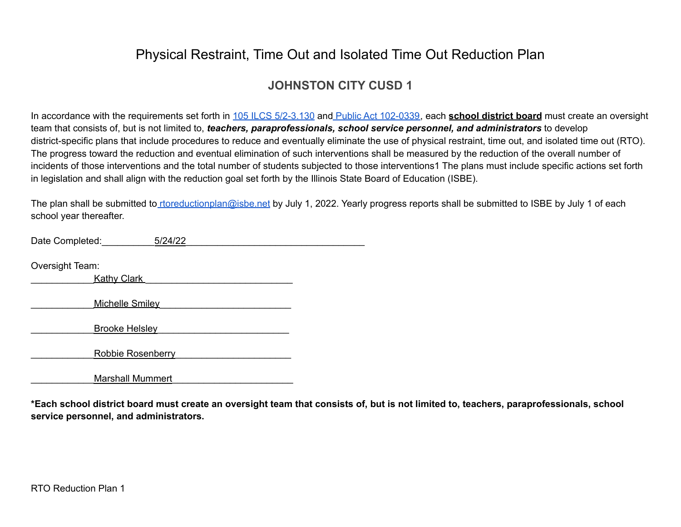### **JOHNSTON CITY CUSD 1**

In accordance with the requirements set forth in 105 ILCS [5/2-3.130](https://www.ilga.gov/legislation/ilcs/documents/010500050K2-3.130.htm) and Public Act [102-0339,](https://www.ilga.gov/legislation/publicacts/102/PDF/102-0339.pdf) each **school district board** must create an oversight team that consists of, but is not limited to, *teachers, paraprofessionals, school service personnel, and administrators* to develop district-specific plans that include procedures to reduce and eventually eliminate the use of physical restraint, time out, and isolated time out (RTO). The progress toward the reduction and eventual elimination of such interventions shall be measured by the reduction of the overall number of incidents of those interventions and the total number of students subjected to those interventions1 The plans must include specific actions set forth in legislation and shall align with the reduction goal set forth by the Illinois State Board of Education (ISBE).

The plan shall be submitted to [rtoreductionplan@isbe.net](mailto:rtoreductionplan@isbe.net) by July 1, 2022. Yearly progress reports shall be submitted to ISBE by July 1 of each school year thereafter.

| Date Completed:         | 5/24/22 |  |
|-------------------------|---------|--|
|                         |         |  |
| Oversight Team:         |         |  |
| <b>Kathy Clark</b>      |         |  |
|                         |         |  |
| <b>Michelle Smilev</b>  |         |  |
|                         |         |  |
| <b>Brooke Helsley</b>   |         |  |
|                         |         |  |
| Robbie Rosenberry       |         |  |
|                         |         |  |
| <b>Marshall Mummert</b> |         |  |

\*Each school district board must create an oversight team that consists of, but is not limited to, teachers, paraprofessionals, school **service personnel, and administrators.**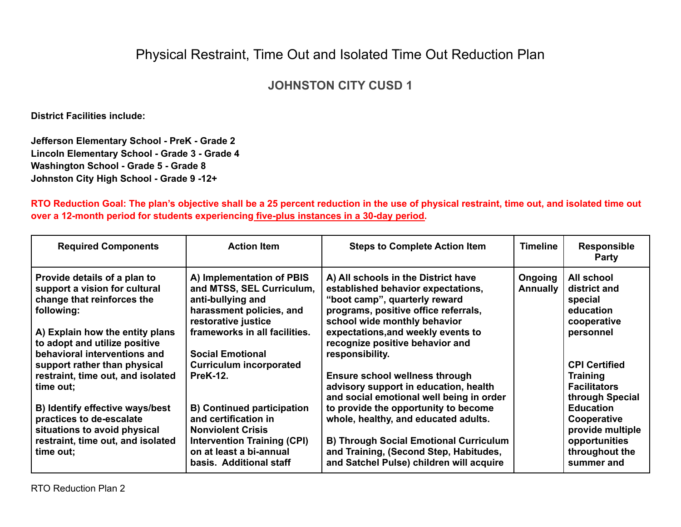## **JOHNSTON CITY CUSD 1**

**District Facilities include:**

**Jefferson Elementary School - PreK - Grade 2 Lincoln Elementary School - Grade 3 - Grade 4 Washington School - Grade 5 - Grade 8 Johnston City High School - Grade 9 -12+**

RTO Reduction Goal: The plan's objective shall be a 25 percent reduction in the use of physical restraint, time out, and isolated time out **over a 12-month period for students experiencing five-plus instances in a 30-day period.**

| <b>Required Components</b>                                                                                                                                                                                    | <b>Action Item</b>                                                                                                                                                                         | <b>Steps to Complete Action Item</b>                                                                                                                                                                                                                                           | <b>Timeline</b>            | <b>Responsible</b><br><b>Party</b>                                                                   |
|---------------------------------------------------------------------------------------------------------------------------------------------------------------------------------------------------------------|--------------------------------------------------------------------------------------------------------------------------------------------------------------------------------------------|--------------------------------------------------------------------------------------------------------------------------------------------------------------------------------------------------------------------------------------------------------------------------------|----------------------------|------------------------------------------------------------------------------------------------------|
| Provide details of a plan to<br>support a vision for cultural<br>change that reinforces the<br>following:<br>A) Explain how the entity plans<br>to adopt and utilize positive<br>behavioral interventions and | A) Implementation of PBIS<br>and MTSS, SEL Curriculum,<br>anti-bullying and<br>harassment policies, and<br>restorative justice<br>frameworks in all facilities.<br><b>Social Emotional</b> | A) All schools in the District have<br>established behavior expectations,<br>"boot camp", quarterly reward<br>programs, positive office referrals,<br>school wide monthly behavior<br>expectations, and weekly events to<br>recognize positive behavior and<br>responsibility. | Ongoing<br><b>Annually</b> | All school<br>district and<br>special<br>education<br>cooperative<br>personnel                       |
| support rather than physical<br>restraint, time out, and isolated<br>time out;                                                                                                                                | <b>Curriculum incorporated</b><br><b>PreK-12.</b>                                                                                                                                          | <b>Ensure school wellness through</b><br>advisory support in education, health<br>and social emotional well being in order                                                                                                                                                     |                            | <b>CPI Certified</b><br><b>Training</b><br><b>Facilitators</b><br>through Special                    |
| B) Identify effective ways/best<br>practices to de-escalate<br>situations to avoid physical<br>restraint, time out, and isolated<br>time out;                                                                 | <b>B) Continued participation</b><br>and certification in<br><b>Nonviolent Crisis</b><br><b>Intervention Training (CPI)</b><br>on at least a bi-annual<br>basis. Additional staff          | to provide the opportunity to become<br>whole, healthy, and educated adults.<br><b>B) Through Social Emotional Curriculum</b><br>and Training, (Second Step, Habitudes,<br>and Satchel Pulse) children will acquire                                                            |                            | <b>Education</b><br>Cooperative<br>provide multiple<br>opportunities<br>throughout the<br>summer and |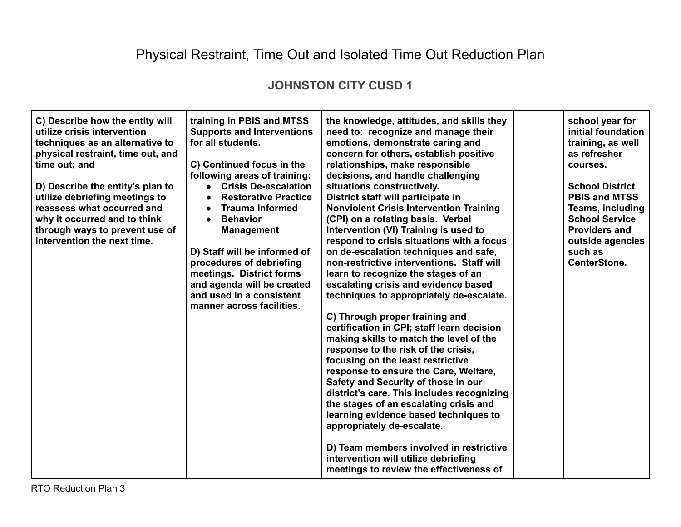### **JOHNSTON CITY CUSD 1**

| C) Describe how the entity will<br>utilize crisis intervention<br>techniques as an alternative to<br>physical restraint, time out, and<br>time out; and<br>D) Describe the entity's plan to<br>utilize debriefing meetings to<br>reassess what occurred and<br>why it occurred and to think<br>through ways to prevent use of<br>intervention the next time. | training in PBIS and MTSS<br><b>Supports and Interventions</b><br>for all students.<br>C) Continued focus in the<br>following areas of training:<br><b>Crisis De-escalation</b><br>$\bullet$<br><b>Restorative Practice</b><br>$\bullet$<br><b>Trauma Informed</b><br>$\bullet$<br><b>Behavior</b><br><b>Management</b><br>D) Staff will be informed of<br>procedures of debriefing<br>meetings. District forms<br>and agenda will be created<br>and used in a consistent<br>manner across facilities. | the knowledge, attitudes, and skills they<br>need to: recognize and manage their<br>emotions, demonstrate caring and<br>concern for others, establish positive<br>relationships, make responsible<br>decisions, and handle challenging<br>situations constructively.<br>District staff will participate in<br><b>Nonviolent Crisis Intervention Training</b><br>(CPI) on a rotating basis. Verbal<br>Intervention (VI) Training is used to<br>respond to crisis situations with a focus<br>on de-escalation techniques and safe,<br>non-restrictive interventions. Staff will<br>learn to recognize the stages of an<br>escalating crisis and evidence based<br>techniques to appropriately de-escalate.<br>C) Through proper training and<br>certification in CPI; staff learn decision<br>making skills to match the level of the<br>response to the risk of the crisis,<br>focusing on the least restrictive<br>response to ensure the Care, Welfare,<br>Safety and Security of those in our<br>district's care. This includes recognizing<br>the stages of an escalating crisis and<br>learning evidence based techniques to<br>appropriately de-escalate.<br>D) Team members involved in restrictive<br>intervention will utilize debriefing<br>meetings to review the effectiveness of |  | school year for<br>initial foundation<br>training, as well<br>as refresher<br>courses.<br><b>School District</b><br><b>PBIS and MTSS</b><br><b>Teams, including</b><br><b>School Service</b><br><b>Providers and</b><br>outside agencies<br>such as<br><b>CenterStone.</b> |
|--------------------------------------------------------------------------------------------------------------------------------------------------------------------------------------------------------------------------------------------------------------------------------------------------------------------------------------------------------------|--------------------------------------------------------------------------------------------------------------------------------------------------------------------------------------------------------------------------------------------------------------------------------------------------------------------------------------------------------------------------------------------------------------------------------------------------------------------------------------------------------|----------------------------------------------------------------------------------------------------------------------------------------------------------------------------------------------------------------------------------------------------------------------------------------------------------------------------------------------------------------------------------------------------------------------------------------------------------------------------------------------------------------------------------------------------------------------------------------------------------------------------------------------------------------------------------------------------------------------------------------------------------------------------------------------------------------------------------------------------------------------------------------------------------------------------------------------------------------------------------------------------------------------------------------------------------------------------------------------------------------------------------------------------------------------------------------------------------------------------------------------------------------------------------------------|--|----------------------------------------------------------------------------------------------------------------------------------------------------------------------------------------------------------------------------------------------------------------------------|
|--------------------------------------------------------------------------------------------------------------------------------------------------------------------------------------------------------------------------------------------------------------------------------------------------------------------------------------------------------------|--------------------------------------------------------------------------------------------------------------------------------------------------------------------------------------------------------------------------------------------------------------------------------------------------------------------------------------------------------------------------------------------------------------------------------------------------------------------------------------------------------|----------------------------------------------------------------------------------------------------------------------------------------------------------------------------------------------------------------------------------------------------------------------------------------------------------------------------------------------------------------------------------------------------------------------------------------------------------------------------------------------------------------------------------------------------------------------------------------------------------------------------------------------------------------------------------------------------------------------------------------------------------------------------------------------------------------------------------------------------------------------------------------------------------------------------------------------------------------------------------------------------------------------------------------------------------------------------------------------------------------------------------------------------------------------------------------------------------------------------------------------------------------------------------------------|--|----------------------------------------------------------------------------------------------------------------------------------------------------------------------------------------------------------------------------------------------------------------------------|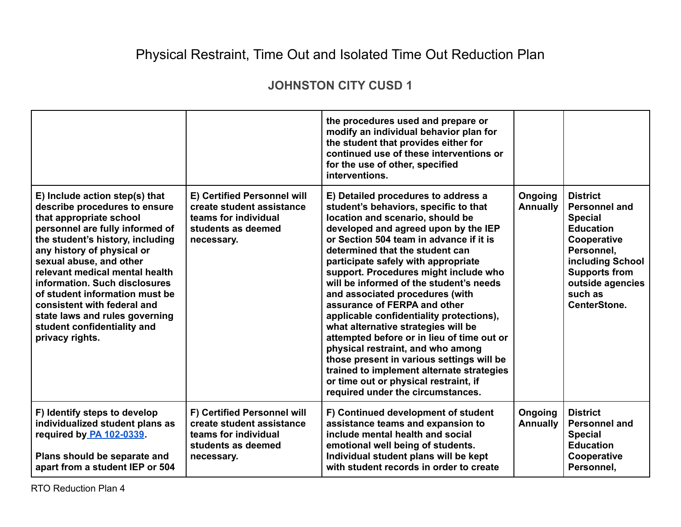### **JOHNSTON CITY CUSD 1**

|                                                                                                                                                                                                                                                                                                                                                                                                                                                    |                                                                                                                      | the procedures used and prepare or<br>modify an individual behavior plan for<br>the student that provides either for<br>continued use of these interventions or<br>for the use of other, specified<br>interventions.                                                                                                                                                                                                                                                                                                                                                                                                                                                                                                                                                               |                            |                                                                                                                                                                                                       |
|----------------------------------------------------------------------------------------------------------------------------------------------------------------------------------------------------------------------------------------------------------------------------------------------------------------------------------------------------------------------------------------------------------------------------------------------------|----------------------------------------------------------------------------------------------------------------------|------------------------------------------------------------------------------------------------------------------------------------------------------------------------------------------------------------------------------------------------------------------------------------------------------------------------------------------------------------------------------------------------------------------------------------------------------------------------------------------------------------------------------------------------------------------------------------------------------------------------------------------------------------------------------------------------------------------------------------------------------------------------------------|----------------------------|-------------------------------------------------------------------------------------------------------------------------------------------------------------------------------------------------------|
| E) Include action step(s) that<br>describe procedures to ensure<br>that appropriate school<br>personnel are fully informed of<br>the student's history, including<br>any history of physical or<br>sexual abuse, and other<br>relevant medical mental health<br>information. Such disclosures<br>of student information must be<br>consistent with federal and<br>state laws and rules governing<br>student confidentiality and<br>privacy rights. | E) Certified Personnel will<br>create student assistance<br>teams for individual<br>students as deemed<br>necessary. | E) Detailed procedures to address a<br>student's behaviors, specific to that<br>location and scenario, should be<br>developed and agreed upon by the IEP<br>or Section 504 team in advance if it is<br>determined that the student can<br>participate safely with appropriate<br>support. Procedures might include who<br>will be informed of the student's needs<br>and associated procedures (with<br>assurance of FERPA and other<br>applicable confidentiality protections),<br>what alternative strategies will be<br>attempted before or in lieu of time out or<br>physical restraint, and who among<br>those present in various settings will be<br>trained to implement alternate strategies<br>or time out or physical restraint, if<br>required under the circumstances. | Ongoing<br><b>Annually</b> | <b>District</b><br><b>Personnel and</b><br><b>Special</b><br><b>Education</b><br>Cooperative<br>Personnel,<br>including School<br><b>Supports from</b><br>outside agencies<br>such as<br>CenterStone. |
| F) Identify steps to develop<br>individualized student plans as<br>required by PA 102-0339.<br>Plans should be separate and<br>apart from a student IEP or 504                                                                                                                                                                                                                                                                                     | F) Certified Personnel will<br>create student assistance<br>teams for individual<br>students as deemed<br>necessary. | F) Continued development of student<br>assistance teams and expansion to<br>include mental health and social<br>emotional well being of students.<br>Individual student plans will be kept<br>with student records in order to create                                                                                                                                                                                                                                                                                                                                                                                                                                                                                                                                              | Ongoing<br><b>Annually</b> | <b>District</b><br><b>Personnel and</b><br><b>Special</b><br><b>Education</b><br>Cooperative<br>Personnel,                                                                                            |

RTO Reduction Plan 4